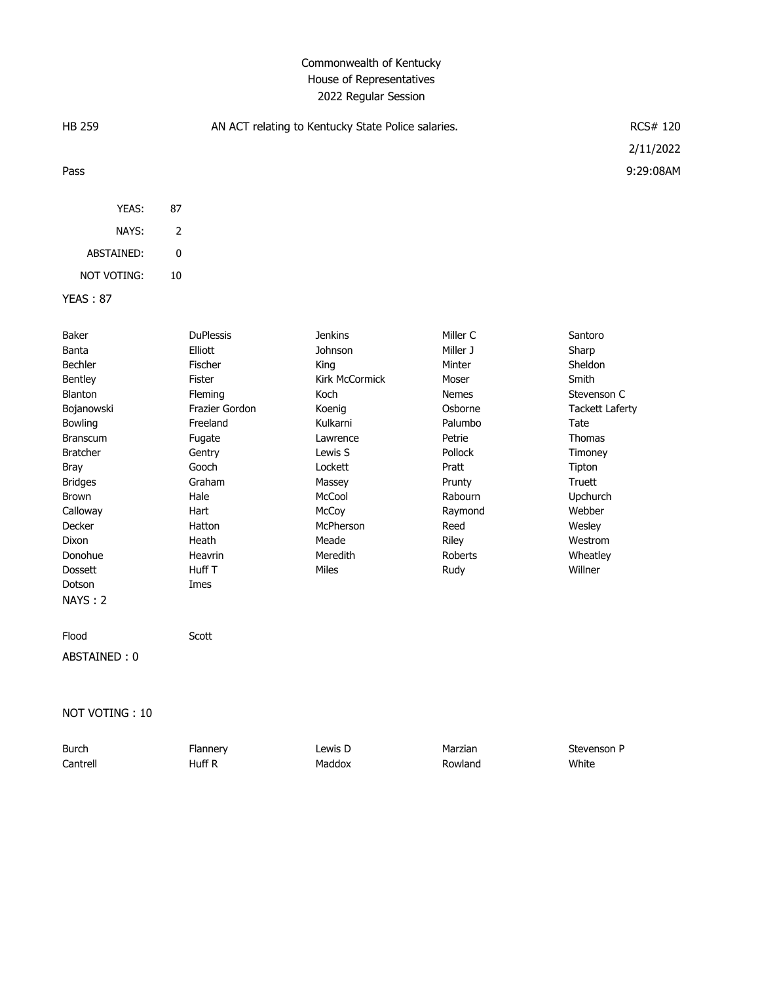### Commonwealth of Kentucky House of Representatives 2022 Regular Session

| HB 259                                                                                                                                                                                                                                           | AN ACT relating to Kentucky State Police salaries.                                                                                                                                               |                                                                                                                                                                                             |                                                                                                                                                                                 |                                                                                                                                                                                                  |
|--------------------------------------------------------------------------------------------------------------------------------------------------------------------------------------------------------------------------------------------------|--------------------------------------------------------------------------------------------------------------------------------------------------------------------------------------------------|---------------------------------------------------------------------------------------------------------------------------------------------------------------------------------------------|---------------------------------------------------------------------------------------------------------------------------------------------------------------------------------|--------------------------------------------------------------------------------------------------------------------------------------------------------------------------------------------------|
|                                                                                                                                                                                                                                                  |                                                                                                                                                                                                  |                                                                                                                                                                                             |                                                                                                                                                                                 | 2/11/2022                                                                                                                                                                                        |
| Pass                                                                                                                                                                                                                                             |                                                                                                                                                                                                  |                                                                                                                                                                                             |                                                                                                                                                                                 | 9:29:08AM                                                                                                                                                                                        |
| YEAS:                                                                                                                                                                                                                                            | 87                                                                                                                                                                                               |                                                                                                                                                                                             |                                                                                                                                                                                 |                                                                                                                                                                                                  |
| NAYS:                                                                                                                                                                                                                                            | $\overline{2}$                                                                                                                                                                                   |                                                                                                                                                                                             |                                                                                                                                                                                 |                                                                                                                                                                                                  |
| ABSTAINED:                                                                                                                                                                                                                                       | 0                                                                                                                                                                                                |                                                                                                                                                                                             |                                                                                                                                                                                 |                                                                                                                                                                                                  |
| NOT VOTING:                                                                                                                                                                                                                                      | 10                                                                                                                                                                                               |                                                                                                                                                                                             |                                                                                                                                                                                 |                                                                                                                                                                                                  |
| <b>YEAS: 87</b>                                                                                                                                                                                                                                  |                                                                                                                                                                                                  |                                                                                                                                                                                             |                                                                                                                                                                                 |                                                                                                                                                                                                  |
| Baker<br>Banta<br>Bechler<br>Bentley<br>Blanton<br>Bojanowski<br>Bowling<br><b>Branscum</b><br><b>Bratcher</b><br><b>Bray</b><br><b>Bridges</b><br>Brown<br>Calloway<br>Decker<br><b>Dixon</b><br>Donohue<br><b>Dossett</b><br>Dotson<br>NAYS: 2 | <b>DuPlessis</b><br>Elliott<br>Fischer<br>Fister<br>Fleming<br>Frazier Gordon<br>Freeland<br>Fugate<br>Gentry<br>Gooch<br>Graham<br>Hale<br>Hart<br>Hatton<br>Heath<br>Heavrin<br>Huff T<br>Imes | <b>Jenkins</b><br>Johnson<br>King<br>Kirk McCormick<br>Koch<br>Koenig<br>Kulkarni<br>Lawrence<br>Lewis S<br>Lockett<br>Massey<br>McCool<br>McCoy<br>McPherson<br>Meade<br>Meredith<br>Miles | Miller C<br>Miller J<br>Minter<br>Moser<br><b>Nemes</b><br>Osborne<br>Palumbo<br>Petrie<br>Pollock<br>Pratt<br>Prunty<br>Rabourn<br>Raymond<br>Reed<br>Riley<br>Roberts<br>Rudy | Santoro<br>Sharp<br>Sheldon<br>Smith<br>Stevenson C<br><b>Tackett Laferty</b><br>Tate<br>Thomas<br>Timoney<br>Tipton<br>Truett<br>Upchurch<br>Webber<br>Wesley<br>Westrom<br>Wheatley<br>Willner |
| Flood                                                                                                                                                                                                                                            | Scott                                                                                                                                                                                            |                                                                                                                                                                                             |                                                                                                                                                                                 |                                                                                                                                                                                                  |
| ABSTAINED: 0                                                                                                                                                                                                                                     |                                                                                                                                                                                                  |                                                                                                                                                                                             |                                                                                                                                                                                 |                                                                                                                                                                                                  |
| NOT VOTING: 10                                                                                                                                                                                                                                   |                                                                                                                                                                                                  |                                                                                                                                                                                             |                                                                                                                                                                                 |                                                                                                                                                                                                  |
| <b>Burch</b><br>Cantrell                                                                                                                                                                                                                         | Flannery<br>Huff R                                                                                                                                                                               | Lewis D<br>Maddox                                                                                                                                                                           | Marzian<br>Rowland                                                                                                                                                              | Stevenson P<br>White                                                                                                                                                                             |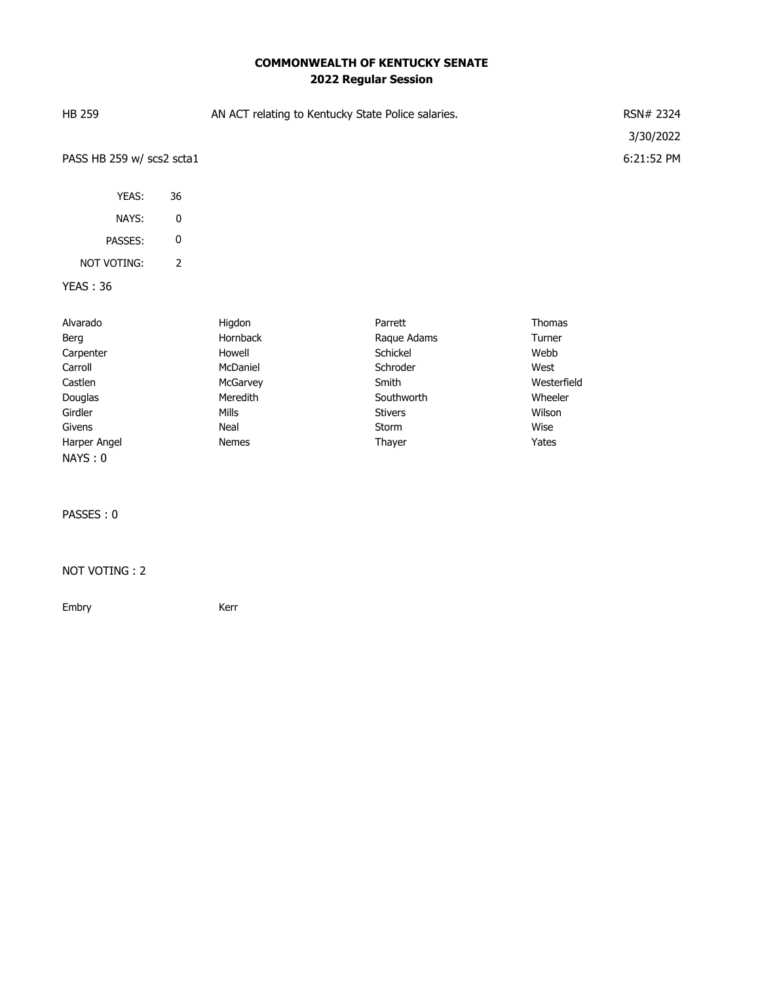# **COMMONWEALTH OF KENTUCKY SENATE 2022 Regular Session**

| <b>HB 259</b>             |    | AN ACT relating to Kentucky State Police salaries. | RSN# 2324  |
|---------------------------|----|----------------------------------------------------|------------|
|                           |    |                                                    | 3/30/2022  |
| PASS HB 259 w/ scs2 scta1 |    |                                                    | 6:21:52 PM |
| YEAS:                     | 36 |                                                    |            |
| NAYS:                     | 0  |                                                    |            |
| PASSES:                   | 0  |                                                    |            |

# NOT VOTING: 2

### YEAS : 36

| Alvarado     | Higdon          | Parrett        | Thomas      |
|--------------|-----------------|----------------|-------------|
| Berg         | <b>Hornback</b> | Raque Adams    | Turner      |
| Carpenter    | Howell          | Schickel       | Webb        |
| Carroll      | McDaniel        | Schroder       | West        |
| Castlen      | McGarvey        | Smith          | Westerfield |
| Douglas      | Meredith        | Southworth     | Wheeler     |
| Girdler      | <b>Mills</b>    | <b>Stivers</b> | Wilson      |
| Givens       | Neal            | Storm          | Wise        |
| Harper Angel | <b>Nemes</b>    | Thayer         | Yates       |
| NAYS: 0      |                 |                |             |

### PASSES : 0

#### NOT VOTING : 2

Embry **Kerr**